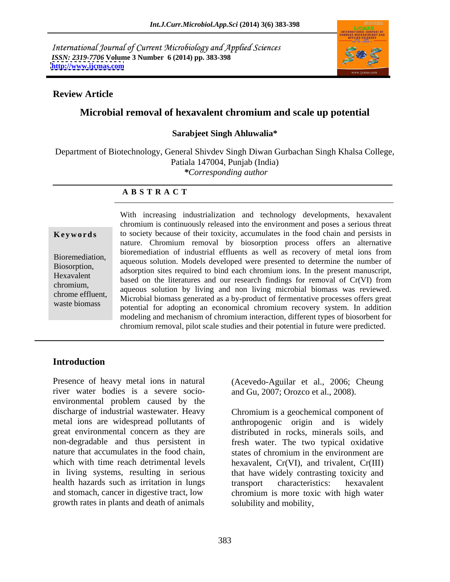International Journal of Current Microbiology and Applied Sciences *ISSN: 2319-7706* **Volume 3 Number 6 (2014) pp. 383-398 <http://www.ijcmas.com>**



### **Review Article**

## **Microbial removal of hexavalent chromium and scale up potential**

#### **Sarabjeet Singh Ahluwalia\***

Department of Biotechnology, General Shivdev Singh Diwan Gurbachan Singh Khalsa College, Patiala 147004, Punjab (India) *\*Corresponding author* 

### **A B S T R A C T**

**Keywords** to society because of their toxicity, accumulates in the food chain and persists in Bioremediation, aqueous solution. Models developed were presented to determine the number of Biosorption,<br>
adsorption sites required to bind each chromium ions. In the present manuscript, Hexavalent based on the literatures and our research findings for removal of Cr(VI) from  $\alpha$  cases on the including and non-living microbial biomass was reviewed. chrome effluent,<br>
Microbial biomass generated as a by-product of fermentative processes offers great waste biomass<br>potential for adopting an economical chromium recovery system. In addition With increasing industrialization and technology developments, hexavalent chromium is continuously released into the environment and poses a serious threat nature. Chromium removal by biosorption process offers an alternative bioremediation of industrial effluents as well as recovery of metal ions from modeling and mechanism of chromium interaction, different types of biosorbent for chromium removal, pilot scale studies and their potential in future were predicted.

## **Introduction**

Presence of heavy metal ions in natural (Acevedo-Aguilar et al., 2006; Cheung river water bodies is a severe socio environmental problem caused by the discharge of industrial wastewater. Heavy discharge of industrial wastewater. Heavy Chromium is a geochemical component of metal ions are widespread pollutants of anthropogenic origin and is widely great environmental concern as they are distributed in rocks, minerals soils, and non-degradable and thus persistent in fresh water. The two typical oxidative nature that accumulates in the food chain, states of chromium in the environment are which with time reach detrimental levels hexavalent, Cr(VI), and trivalent, Cr(III) in living systems, resulting in serious that have widely contrasting toxicity and health hazards such as irritation in lungs transport characteristics: hexavalent and stomach, cancer in digestive tract, low chromium is more toxic with high water growth rates in plants and death of animals

and Gu, 2007; Orozco et al., 2008).

transport characteristics: hexavalent solubility and mobility,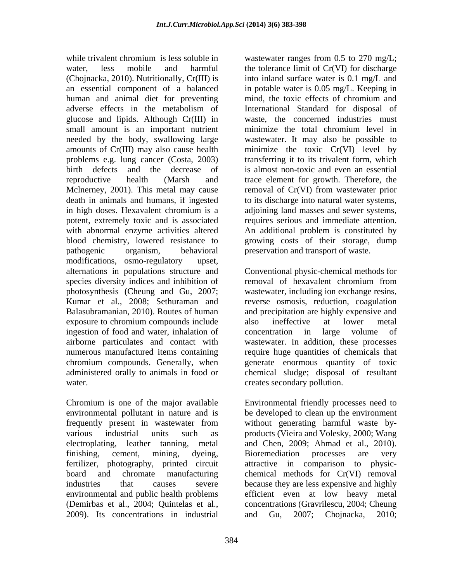while trivalent chromium is less soluble in wastewater ranges from 0.5 to 270 mg/L; water, less mobile and harmful the tolerance limit of Cr(VI) for discharge (Chojnacka, 2010). Nutritionally, Cr(III) is into inland surface water is 0.1 mg/L and an essential component of a balanced in potable water is 0.05 mg/L. Keeping in human and animal diet for preventing mind, the toxic effects of chromium and adverse effects in the metabolism of International Standard for disposal of glucose and lipids. Although Cr(III) in small amount is an important nutrient minimize the total chromium level in needed by the body, swallowing large wastewater. It may also be possible to amounts of Cr(III) may also cause health minimize the toxic Cr(VI) level by problems e.g. lung cancer (Costa, 2003) birth defects and the decrease of is almost non-toxic and even an essential reproductive health (Marsh and trace element for growth. Therefore, the Mclnerney, 2001). This metal may cause removal of Cr(VI) from wastewater prior death in animals and humans, if ingested to its discharge into natural water systems, in high doses. Hexavalent chromium is a adjoining land masses and sewer systems, potent, extremely toxic and is associated requires serious and immediate attention. with abnormal enzyme activities altered An additional problem is constituted by blood chemistry, lowered resistance to growing costs of their storage, dump pathogenic organism, behavioral preservation and transport of waste. modifications, osmo-regulatory upset, species diversity indices and inhibition of removal of hexavalent chromium from exposure to chromium compounds include also ineffective at lower metal ingestion of food and water, inhalation of concentration in large volume of

environmental pollutant in nature and is frequently present in wastewater from environmental and public health problems 2009). Its concentrations in industrial

mind, the toxic effects of chromium and waste, the concerned industries must minimize the total chromium level in transferring it to its trivalent form, which

alternations in populations structure and Conventional physic-chemical methods for photosynthesis (Cheung and Gu, 2007; wastewater, including ion exchange resins, Kumar et al., 2008; Sethuraman and reverse osmosis, reduction, coagulation Balasubramanian, 2010). Routes of human and precipitation are highly expensive and airborne particulates and contact with wastewater. In addition, these processes numerous manufactured items containing require huge quantities of chemicals that chromium compounds. Generally, when generate enormous quantity of toxic administered orally to animals in food or chemical sludge; disposal of resultant water. creates secondary pollution. removal of hexavalent chromium from also ineffective at lower metal concentration in large volume of

Chromium is one of the major available Environmental friendly processes need to various industrial units such as products (Vieira and Volesky, 2000; Wang electroplating, leather tanning, metal and Chen, 2009; Ahmad et al., 2010). finishing, cement, mining, dyeing, fertilizer, photography, printed circuit attractive in comparison to physic board and chromate manufacturing chemical methods for Cr(VI) removal industries that causes severe because they are less expensive and highly (Demirbas et al., 2004; Quintelas et al., concentrations (Gravrilescu, 2004; Cheung be developed to clean up the environment without generating harmful waste by- Bioremediation processes are very efficient even at low heavy metal and Gu, 2007; Chojnacka, 2010;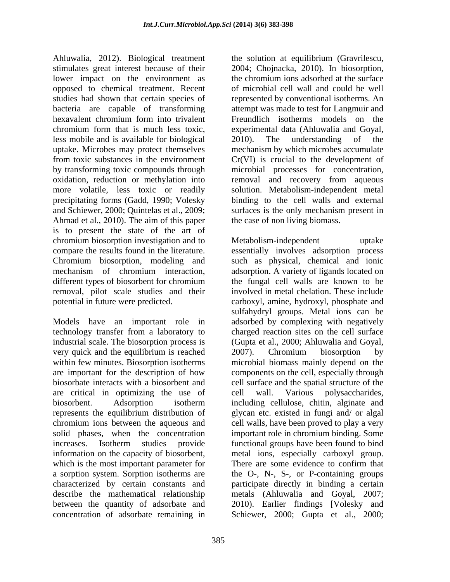Ahluwalia, 2012). Biological treatment the solution at equilibrium (Gravrilescu, stimulates great interest because of their 2004; Chojnacka, 2010). In biosorption, lower impact on the environment as the chromium ions adsorbed at the surface opposed to chemical treatment. Recent studies had shown that certain species of represented by conventional isotherms. An bacteria are capable of transforming hexavalent chromium form into trivalent Freundlich isotherms models on the chromium form that is much less toxic, experimental data (Ahluwalia and Goyal, less mobile and is available for biological uptake. Microbes may protect themselves mechanism by which microbes accumulate from toxic substances in the environment Cr(VI) is crucial to the development of by transforming toxic compounds through microbial processes for concentration, oxidation, reduction or methylation into more volatile, less toxic or readily solution. Metabolism-independent metal precipitating forms (Gadd, 1990; Volesky binding to the cell walls and external and Schiewer, 2000; Quintelas et al., 2009; surfaces is the only mechanism present in Ahmad et al., 2010). The aim of this paper is to present the state of the art of chromium biosorption investigation and to removal, pilot scale studies and their

Models have an important role in very quick and the equilibrium is reached 2007). Chromium biosorption by are critical in optimizing the use of cell wall. Various polysaccharides, represents the equilibrium distribution of which is the most important parameter for There are some evidence to confirm that between the quantity of adsorbate and

the chromium ions adsorbed at the surface of microbial cell wall and could be well attempt was made to test for Langmuir and 2010). The understanding of the removal and recovery from aqueous the case of non living biomass.

compare the results found in the literature. essentially involves adsorption process Chromium biosorption, modeling and such as physical, chemical and ionic mechanism of chromium interaction, adsorption. A variety of ligands located on different types of biosorbent for chromium the fungal cell walls are known to be potential in future were predicted. carboxyl, amine, hydroxyl, phosphate and technology transfer from a laboratory to charged reaction sites on the cell surface industrial scale. The biosorption process is (Gupta et al., 2000; Ahluwalia and Goyal, within few minutes. Biosorption isotherms microbial biomass mainly depend on the are important for the description of how components on the cell, especially through biosorbate interacts with a biosorbent and cell surface and the spatial structure of the biosorbent. Adsorption isotherm including cellulose, chitin, alginate and chromium ions between the aqueous and cell walls, have been proved to play a very solid phases, when the concentration important role in chromium binding. Some increases. Isotherm studies provide functional groups have been found to bind information on the capacity of biosorbent, metal ions, especially carboxyl group. a sorption system. Sorption isotherms are the O-, N-, S-, or P-containing groups characterized by certain constants and participate directly in binding a certain describe the mathematical relationship metals (Ahluwalia and Goyal, 2007; concentration of adsorbate remaining in Schiewer, 2000; Gupta et al., 2000;Metabolism-independent uptake the fungal cell walls are known to be involved in metal chelation. These include sulfahydryl groups. Metal ions can be adsorbed by complexing with negatively 2007). Chromium biosorption by cell wall. Various polysaccharides, including cellulose, chitin, alginate and glycan etc. existed in fungi and/or algal There are some evidence to confirm that 2010). Earlier findings [Volesky and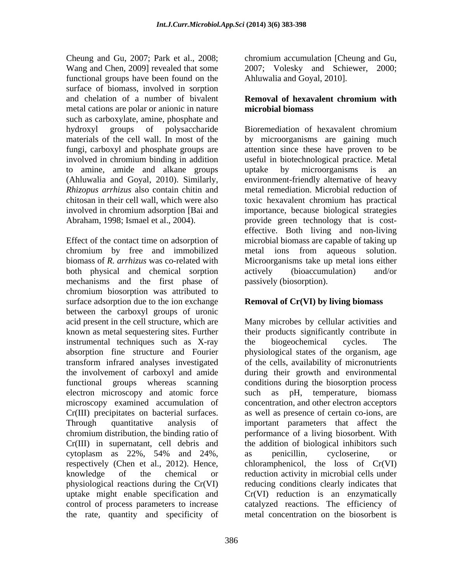Cheung and Gu, 2007; Park et al., 2008; chromium accumulation [Cheung and Gu, Wang and Chen, 2009] revealed that some 2007; Volesky and Schiewer, 2000; functional groups have been found on the surface of biomass, involved in sorption and chelation of a number of bivalent **Removal of hexavalent chromium with** metal cations are polar or anionic in nature **microbial biomass** such as carboxylate, amine, phosphate and hydroxyl groups of polysaccharide to amine, amide and alkane groups

Effect of the contact time on adsorption of microbial biomass are capable of taking up chromium by free and immobilized biomass of *R. arrhizus* was co-related with both physical and chemical sorption actively (bioaccumulation) and/or mechanisms and the first phase of chromium biosorption was attributed to surface adsorption due to the ion exchange between the carboxyl groups of uronic instrumental techniques such as X-ray the biogeochemical cycles. The transform infrared analyses investigated electron microscopy and atomic force such as chromium distribution, the binding ratio of the rate, quantity and specificity of

Ahluwalia and Goyal, 2010].

## **Removal of hexavalent chromium with microbial biomass**

materials of the cell wall. In most of the by microorganisms are gaining much fungi, carboxyl and phosphate groups are attention since these have proven to be involved in chromium binding in addition useful in biotechnological practice. Metal (Ahluwalia and Goyal, 2010). Similarly, environment-friendly alternative of heavy *Rhizopus arrhizus* also contain chitin and metal remediation. Microbial reduction of chitosan in their cell wall, which were also toxic hexavalent chromium has practical involved in chromium adsorption [Bai and importance, because biological strategies Abraham, 1998; Ismael et al., 2004). provide green technology that is cost- Bioremediation of hexavalent chromium uptake by microorganisms is an effective. Both living and non-living metal ions from aqueous solution. Microorganisms take up metal ions either actively (bioaccumulation) and/or passively (biosorption).

# **Removal of Cr(VI) by living biomass**

acid present in the cell structure, which are Many microbes by cellular activities and known as metal sequestering sites. Further their products significantly contribute in absorption fine structure and Fourier physiological states of the organism, age the involvement of carboxyl and amide during their growth and environmental functional groups whereas scanning conditions during the biosorption process microscopy examined accumulation of concentration, and other electron acceptors Cr(III) precipitates on bacterial surfaces. as well as presence of certain co-ions, are Through quantitative analysis of important parameters that affect the Cr(III) in supernatant, cell debris and the addition of biological inhibitors such cytoplasm as 22%, 54% and 24%, respectively (Chen et al., 2012). Hence, chloramphenicol, the loss of Cr(VI) knowledge of the chemical or reduction activity in microbial cells under physiological reactions during the Cr(VI) reducing conditions clearly indicates that uptake might enable specification and Cr(VI) reduction is an enzymatically control of process parameters to increase catalyzed reactions. The efficiency of the biogeochemical cycles. The of the cells, availability of micronutrients pH, temperature, biomass performance of a living biosorbent. With as penicillin, cycloserine, or metal concentration on the biosorbent is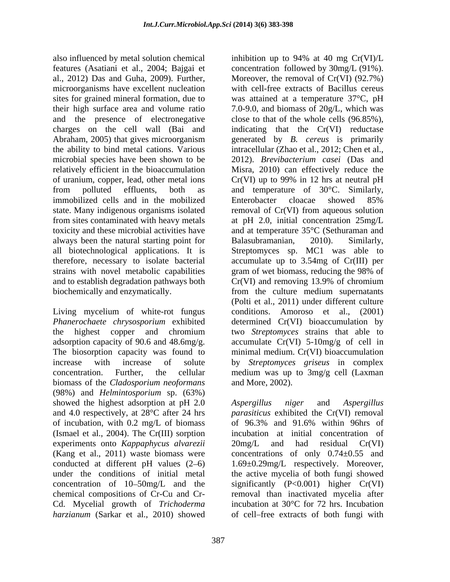also influenced by metal solution chemical inhibition up to 94% at 40 mg Cr(VI)/L features (Asatiani et al., 2004; Bajgai et the ability to bind metal cations. Various microbial species have been shown to be of uranium, copper, lead, other metal ions  $Cr(VI)$  up to 99% in 12 hrs at neutral pH immobilized cells and in the mobilized always been the natural starting point for Balasubramanian, 2010). Similarly, strains with novel metabolic capabilities gram of wet biomass, reducing the 98% of and to establish degradation pathways both  $Cr(VI)$  and removing 13.9% of chromium

Living mycelium of white-rot fungus biomass of the *Cladosporium neoformans* (98%) and *Helmintosporium* sp. (63%) showed the highest adsorption at pH 2.0 Aspergillus niger and Aspergillus and 4.0 respectively, at 28°C after 24 hrs *parasiticus* exhibited the Cr(VI) removal of incubation, with 0.2 mg/L of biomass (Ismael et al., 2004). The Cr(III) sorption experiments onto *Kappaphycus alvarezii* (Kang et al., 2011) waste biomass were concentrations of only  $0.74 \pm 0.55$  and conducted at different pH values (2–6)  $1.69 \pm 0.29$  mg/L respectively. Moreover, under the conditions of initial metal the active mycelia of both fungi showed concentration of  $10-50$  mg/L and the significantly  $(P<0.001)$  higher  $Cr(VI)$ chemical compositions of Cr-Cu and Cr- removal than inactivated mycelia after Cd. Mycelial growth of *Trichoderma*  harzianum (Sarkar et al., 2010) showed of cell–free extracts of both fungi with

al., 2012) Das and Guha, 2009). Further, Moreover, the removal of Cr(VI) (92.7%) microorganisms have excellent nucleation with cell-free extracts of Bacillus cereus sites for grained mineral formation, due to was attained at a temperature 37°C, pH their high surface area and volume ratio 7.0-9.0, and biomass of 20g/L, which was and the presence of electronegative close to that of the whole cells (96.85%), charges on the cell wall (Bai and indicating that the Cr(VI) reductase Abraham, 2005) that gives microorganism generated by B. cereus is primarily relatively efficient in the bioaccumulation Misra, 2010) can effectively reduce the from polluted effluents, both as and temperature of 30°C. Similarly, state. Many indigenous organisms isolated removal of Cr(VI) from aqueous solution from sites contaminated with heavy metals at pH 2.0, initial concentration 25mg/L toxicity and these microbial activities have and at temperature 35°C (Sethuraman and all biotechnological applications. It is Streptomyces sp. MC1 was able to therefore, necessary to isolate bacterial accumulate up to 3.54mg of Cr(III) per biochemically and enzymatically. from the culture medium supernatants *Phanerochaete chrysosporium* exhibited determined Cr(VI) bioaccumulation by the highest copper and chromium two Streptomyces strains that able to adsorption capacity of 90.6 and 48.6mg/g.  $\qquad \qquad$  accumulate Cr(VI) 5-10mg/g of cell in The biosorption capacity was found to minimal medium. Cr(VI) bioaccumulation increase with increase of solute by *Streptomyces griseus* in complex concentration. Further, the cellular medium was up to 3mg/g cell (Laxman inhibition up to 94% at 40 mg Cr(VI)/L concentration followed by 30mg/L (91%). generated by *B. cereus* is primarily intracellular (Zhao et al., 2012; Chen et al., 2012). *Brevibacterium casei* (Das and Cr(VI) up to 99% in 12 hrs at neutral pH Enterobacter cloacae showed 85% Balasubramanian, 2010). Similarly, gram of wet biomass, reducing the 98% of Cr(VI) and removing 13.9% of chromium (Polti et al., 2011) under different culture conditions. Amoroso et al., (2001) two *Streptomyces* strains that able to and More, 2002).

> *Aspergillus niger* and *Aspergillus* of 96.3% and 91.6% within 96hrs of incubation at initial concentration of 20mg/L and had residual Cr(VI) incubation at 30°C for 72 hrs. Incubation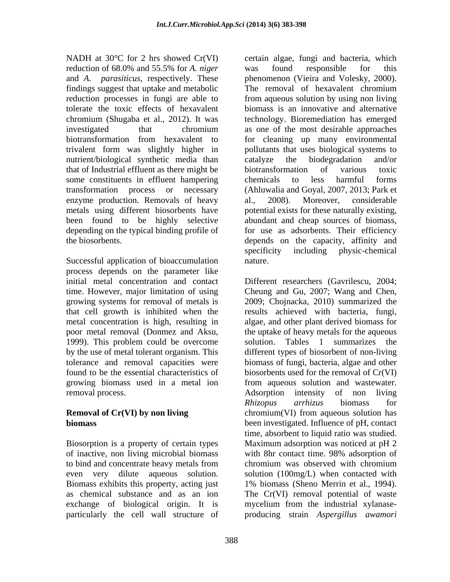and *A. parasiticus*, respectively. These findings suggest that uptake and metabolic tolerate the toxic effects of hexavalent nutrient/biological synthetic media than catalyze the biodegradation and/or that of Industrial effluent as there might be some constituents in effluent hampering chemicals to less harmful forms enzyme production. Removals of heavy al., 2008). Moreover, considerable

Successful application of bioaccumulation mature. process depends on the parameter like time. However, major limitation of using 1999). This problem could be overcome solution. Tables 1 summarizes the removal process. Adsorption intensity of non living

of inactive, non living microbial biomass to bind and concentrate heavy metals from even very dilute aqueous solution. Biomass exhibits this property, acting just 1% biomass (Sheno Merrin et al., 1994). as chemical substance and as an ion The Cr(VI) removal potential of waste particularly the cell wall structure of producing strain *Aspergillus awamori*

NADH at 30°C for 2 hrs showed Cr(VI) certain algae, fungi and bacteria, which reduction of 68.0% and 55.5% for *A. niger* reduction processes in fungi are able to from aqueous solution by using non living chromium (Shugaba et al., 2012). It was technology. Bioremediation has emerged investigated that chromium as one of the most desirable approaches biotransformation from hexavalent to for cleaning up many environmental trivalent form was slightly higher in pollutants that uses biological systems to transformation process or necessary (Ahluwalia and Goyal, 2007, 2013; Park et metals using different biosorbents have potential exists for these naturally existing, been found to be highly selective abundant and cheap sources of biomass, depending on the typical binding profile of for use as adsorbents. Their efficiency the biosorbents. depends on the capacity, affinity and was found responsible for this phenomenon (Vieira and Volesky, 2000). The removal of hexavalent chromium biomass is an innovative and alternative catalyze the biodegradation and/or biotransformation of various toxic chemicals to less harmful forms al., 2008). Moreover, considerable specificity including physic-chemical nature.

initial metal concentration and contact Different researchers (Gavrilescu, 2004; growing systems for removal of metals is 2009; Chojnacka, 2010) summarized the that cell growth is inhibited when the results achieved with bacteria, fungi, metal concentration is high, resulting in algae, and other plant derived biomass for poor metal removal (Donmez and Aksu, the uptake of heavy metals for the aqueous by the use of metal tolerant organism. This different types of biosorbent of non-living tolerance and removal capacities were biomass of fungi, bacteria, algae and other found to be the essential characteristics of biosorbents used for the removal of Cr(VI) growing biomass used in a metal ion from aqueous solution and wastewater. **Removal of Cr(VI) by non living** chromium(VI) from aqueous solution has **biomass** been investigated. Influence of pH, contact Biosorption is a property of certain types Maximum adsorption was noticed at pH 2 exchange of biological origin. It is mycelium from the industrial xylanase- Cheung and Gu, 2007; Wang and Chen, solution. Tables 1 summarizes the Adsorption intensity of non living *Rhizopus arrhizus* biomass for time, absorbent to liquid ratio was studied. with 8hr contact time. 98% adsorption of chromium was observed with chromium solution (100mg/L) when contacted with 1% biomass (Sheno Merrin et al., 1994). The Cr(VI) removal potential of waste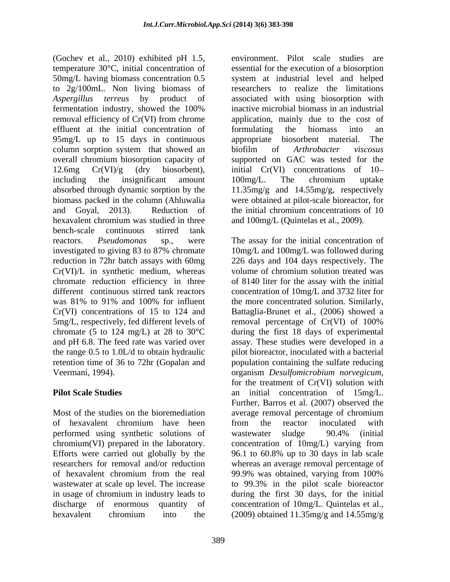(Gochev et al., 2010) exhibited pH 1.5, temperature 30°C, initial concentration of 50mg/L having biomass concentration 0.5 system at industrial level and helped to 2g/100mL. Non living biomass of researchers to realize the limitations *Aspergillus terreus* by product of associated with using biosorption with fermentation industry, showed the 100% removal efficiency of Cr(VI) from chrome application, mainly due to the cost of effluent at the initial concentration of formulating the biomass into an 95mg/L up to 15 days in continuous appropriate biosorbent material. The column sorption system that showed an biofilm of Arthrobacter viscosus overall chromium biosorption capacity of supported on GAC was tested for the 12.6mg Cr(VI)/g (dry biosorbent), initial Cr(VI) concentrations of 10 including the insignificant amount 100mg/L. The chromium uptake absorbed through dynamic sorption by the 11.35mg/g and 14.55mg/g, respectively biomass packed in the column (Ahluwalia and Goyal, 2013). Reduction of the initial chromium concentrations of 10 hexavalent chromium was studied in three and 100mg/L (Quintelas et al., 2009). bench-scale continuous stirred tank reactors. *Pseudomonas* sp., were The assay for the initial concentration of investigated to giving 83 to 87% chromate 10mg/L and 100mg/L was followed during reduction in 72hr batch assays with 60mg 226 days and 104 days respectively. The Cr(VI)/L in synthetic medium, whereas volume of chromium solution treated was chromate reduction efficiency in three of 8140 liter for the assay with the initial different continuous stirred tank reactors concentration of 10mg/L and 3732 liter for was 81% to 91% and 100% for influent the more concentrated solution. Similarly, Cr(VI) concentrations of 15 to 124 and 5mg/L, respectively, fed different levels of chromate (5 to 124 mg/L) at 28 to  $30^{\circ}$ C and pH 6.8. The feed rate was varied over assay. These studies were developed in a the range 0.5 to 1.0L/d to obtain hydraulic pilot bioreactor, inoculated with a bacterial retention time of 36 to 72hr (Gopalan and population containing the sulfate reducing

Most of the studies on the bioremediation average removal percentage of chromium performed using synthetic solutions of wastewater sludge 90.4% (initial Efforts were carried out globally by the 96.1 to 60.8% up to 30 days in lab scale of hexavalent chromium from the real 99.9% was obtained, varying from 100% in usage of chromium in industry leads to hexavalent chromium into the (2009) obtained 11.35mg/g and 14.55mg/g

environment. Pilot scale studies are essential for the execution of a biosorption inactive microbial biomass in an industrial formulating the biomass into an appropriate biosorbent material. The biofilm of *Arthrobacter viscosus* 100mg/L. The chromium uptake were obtained at pilot-scale bioreactor, for and 100mg/L (Quintelas et al., 2009).

Veermani, 1994). organism *Desulfomicrobium norvegicum*, for the treatment of Cr(VI) solution with **Pilot Scale Studies** an initial concentration of 15mg/L. of hexavalent chromium have been chromium(VI) prepared in the laboratory. concentration of 10mg/L) varying from researchers for removal and/or reduction whereas an average removal percentage of wastewater at scale up level. The increase to 99.3% in the pilot scale bioreactor discharge of enormous quantity of concentration of 10mg/L. Quintelas et al., the more concentrated solution. Similarly, Battaglia-Brunet et al., (2006) showed a removal percentage of Cr(VI) of 100% during the first 18 days of experimental organism *Desulfomicrobium norvegicum*, for the treatment of Cr(VI) solution with Further, Barros et al. (2007) observed the average removal percentage of chromium from the reactor inoculated with wastewater sludge 90.4% (initial 96.1 to 60.8% up to 30 days in lab scale 99.9% was obtained, varying from 100% during the first 30 days, for the initial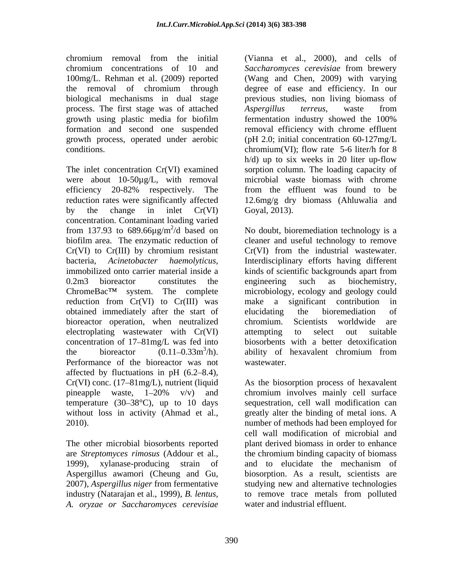process. The first stage was of attached Aspergillus terreus, waste from growth process, operated under aerobic

were about 10-50µg/L, with removal concentration. Contaminant loading varied biofilm area. The enzymatic reduction of  $Cr(VI)$  to  $Cr(III)$  by chromium resistant  $Cr(VI)$  from the industrial wastewater. reduction from Cr(VI) to Cr(III) was make a significant contribution in obtained immediately after the start of bioreactor operation, when neutralized chromium. Scientists worldwide are electroplating wastewater with Cr(VI) attempting to select out suitable concentration of  $17-81$  mg/L was fed into Performance of the bioreactor was not affected by fluctuations in pH  $(6.2-8.4)$ , temperature (30–38 $^{\circ}$ C), up to 10 days without loss in activity (Ahmad et al.,

are *Streptomyces rimosus* (Addour et al., 1999), xylanase-producing strain of and to elucidate the mechanism of industry (Natarajan et al., 1999), *B. lentus, A. oryzae or Saccharomyces cerevisiae*

chromium removal from the initial (Vianna et al., 2000), and cells of chromium concentrations of 10 and *Saccharomyces cerevisiae* from brewery 100mg/L. Rehman et al. (2009) reported (Wang and Chen, 2009) with varying the removal of chromium through degree of ease and efficiency. In our biological mechanisms in dual stage previous studies, non living biomass of growth using plastic media for biofilm formation and second one suspended removal efficiency with chrome effluent conditions. chromium(VI); flow rate 5-6 liter/h for 8 The inlet concentration Cr(VI) examined sorption column. The loading capacity of efficiency 20-82% respectively. The from the effluent was found to be reduction rates were significantly affected 12.6mg/g dry biomass (Ahluwalia and by the change in inlet  $Cr(VI)$  Goyal, 2013). *Aspergillus terreus*, waste from fermentation industry showed the 100% (pH 2.0; initial concentration 60-127mg/L h/d) up to six weeks in 20 liter up-flow microbial waste biomass with chrome from the effluent was found to be Goyal, 2013).

from 137.93 to 689.66 $\mu$ g/m<sup>2</sup>/d based on No doubt, bioremediation technology is a bacteria, *Acinetobacter haemolyticus*, Interdisciplinary efforts having different immobilized onto carrier material inside a kinds of scientific backgrounds apart from 0.2m3 bioreactor constitutes the engineering such as biochemistry,  $ChromeBac<sup>TM</sup>$  system. The complete microbiology, ecology and geology could the bioreactor  $(0.11-0.33m^3/h)$ . ability of hexavalent chromium from cleaner and useful technology to remove Cr(VI) from the industrial wastewater. Interdisciplinary efforts having different kinds of scientific backgrounds apart from engineering such as biochemistry, make a significant contribution elucidating the bioremediation of chromium. Scientists worldwide are attempting to select out suitable biosorbents with a better detoxification ability of hexavalent chromium from wastewater.

Cr(VI) conc. (17–81mg/L), nutrient (liquid As the biosorption process of hexavalent pineapple waste, 1–20% v/v) and chromium involves mainly cell surface 2010). number of methods had been employed for The other microbial biosorbents reported plant derived biomass in order to enhance Aspergillus awamori (Cheung and Gu, biosorption. As a result, scientists are 2007), *Aspergillus niger* from fermentative studying new and alternative technologies chromium involves mainly cell surface sequestration, cell wall modification can greatly alter the binding of metal ions. A cell wall modification of microbial and the chromium binding capacity of biomass and to elucidate the mechanism of to remove trace metals from polluted water and industrial effluent.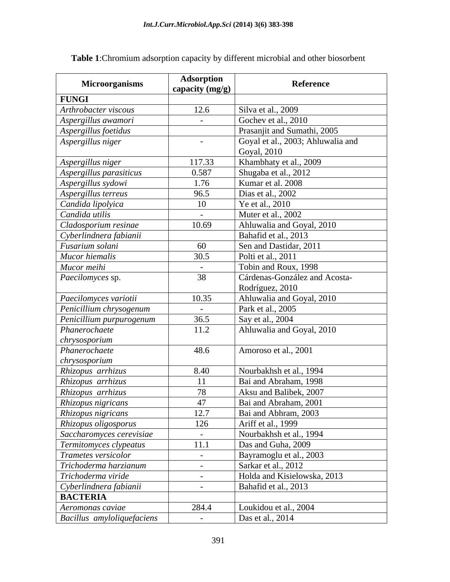| <b>FUNGI</b><br>Silva et al., 2009<br>12.6<br>Arthrobacter viscous<br>Gochev et al., 2010<br>Aspergillus awamori<br>$\sim$ $-$<br>Prasanjit and Sumathi, 2005<br>Aspergillus foetidus<br>Goyal et al., 2003; Ahluwalia and<br>Aspergillus niger<br>$\sim$<br>Goyal, 2010<br>Khambhaty et al., 2009<br>Aspergillus niger<br>117.33<br>0.587<br>Shugaba et al., 2012<br>Aspergillus parasiticus<br>Kumar et al. 2008<br>1.76<br>Aspergillus sydowi<br>Aspergillus terreus<br>96.5<br>Dias et al., 2002<br>Candida lipolyica<br>10<br>Ye et al., 2010<br>Candida utilis<br>Muter et al., 2002<br>$\sim$<br>Ahluwalia and Goyal, 2010<br>10.69<br>Cladosporium resinae<br>Bahafid et al., 2013<br>Cyberlindnera fabianii<br>Sen and Dastidar, 2011<br>Fusarium solani<br>60<br>30.5<br>Mucor hiemalis<br>Polti et al., 2011<br>Mucor meihi<br>Tobin and Roux, 1998<br>$\sim$<br>38<br>Cárdenas-González and Acosta-<br>Paecilomyces sp.<br>Rodríguez, 2010<br>Ahluwalia and Goyal, 2010<br>10.35<br>Paecilomyces variotii<br>Penicillium chrysogenum<br>Park et al., 2005<br>$\sim$<br>36.5<br>Say et al., 2004<br>Penicillium purpurogenum<br>Ahluwalia and Goyal, 2010<br>Phanerochaete<br>11.2<br>chrysosporium<br>Amoroso et al., 2001<br>48.6<br>Phanerochaete<br>chrysosporium<br>Rhizopus arrhizus<br>Nourbakhsh et al., 1994<br>8.40<br>Rhizopus arrhizus<br>Bai and Abraham, 1998<br>11<br>78<br>Aksu and Balibek, 2007<br>47<br>Bai and Abraham, 2001<br>Rhizopus nigricans<br>12.7<br>Bai and Abhram, 2003<br>Rhizopus oligosporus<br>126<br>Ariff et al., 1999<br>Nourbakhsh et al., 1994<br>Saccharomyces cerevisiae<br>$\sim$ $-$<br>11.1<br>Termitomyces clypeatus<br>Das and Guha, 2009<br>Trametes versicolor<br>Bayramoglu et al., 2003<br>$\sim$<br>Trichoderma harzianum<br>Sarkar et al., 2012<br>$\sim$ $-$<br>Trichoderma viride<br>Holda and Kisielowska, 2013<br>$\sim$<br>Cyberlindnera fabianii<br>Bahafid et al., 2013<br>$\sim$<br><b>BACTERIA</b><br>Loukidou et al., 2004<br>Aeromonas caviae<br>284.4 | <b>Microorganisms</b>      | Adsorption<br>capacity (mg/g) | Reference        |
|-----------------------------------------------------------------------------------------------------------------------------------------------------------------------------------------------------------------------------------------------------------------------------------------------------------------------------------------------------------------------------------------------------------------------------------------------------------------------------------------------------------------------------------------------------------------------------------------------------------------------------------------------------------------------------------------------------------------------------------------------------------------------------------------------------------------------------------------------------------------------------------------------------------------------------------------------------------------------------------------------------------------------------------------------------------------------------------------------------------------------------------------------------------------------------------------------------------------------------------------------------------------------------------------------------------------------------------------------------------------------------------------------------------------------------------------------------------------------------------------------------------------------------------------------------------------------------------------------------------------------------------------------------------------------------------------------------------------------------------------------------------------------------------------------------------------------------------------------------------------------------------------------------------------------------------------------------------------------------------------------------------------------------------|----------------------------|-------------------------------|------------------|
|                                                                                                                                                                                                                                                                                                                                                                                                                                                                                                                                                                                                                                                                                                                                                                                                                                                                                                                                                                                                                                                                                                                                                                                                                                                                                                                                                                                                                                                                                                                                                                                                                                                                                                                                                                                                                                                                                                                                                                                                                                   |                            |                               |                  |
| Rhizopus arrhizus<br>Rhizopus nigricans                                                                                                                                                                                                                                                                                                                                                                                                                                                                                                                                                                                                                                                                                                                                                                                                                                                                                                                                                                                                                                                                                                                                                                                                                                                                                                                                                                                                                                                                                                                                                                                                                                                                                                                                                                                                                                                                                                                                                                                           |                            |                               |                  |
|                                                                                                                                                                                                                                                                                                                                                                                                                                                                                                                                                                                                                                                                                                                                                                                                                                                                                                                                                                                                                                                                                                                                                                                                                                                                                                                                                                                                                                                                                                                                                                                                                                                                                                                                                                                                                                                                                                                                                                                                                                   |                            |                               |                  |
|                                                                                                                                                                                                                                                                                                                                                                                                                                                                                                                                                                                                                                                                                                                                                                                                                                                                                                                                                                                                                                                                                                                                                                                                                                                                                                                                                                                                                                                                                                                                                                                                                                                                                                                                                                                                                                                                                                                                                                                                                                   |                            |                               |                  |
|                                                                                                                                                                                                                                                                                                                                                                                                                                                                                                                                                                                                                                                                                                                                                                                                                                                                                                                                                                                                                                                                                                                                                                                                                                                                                                                                                                                                                                                                                                                                                                                                                                                                                                                                                                                                                                                                                                                                                                                                                                   |                            |                               |                  |
|                                                                                                                                                                                                                                                                                                                                                                                                                                                                                                                                                                                                                                                                                                                                                                                                                                                                                                                                                                                                                                                                                                                                                                                                                                                                                                                                                                                                                                                                                                                                                                                                                                                                                                                                                                                                                                                                                                                                                                                                                                   |                            |                               |                  |
|                                                                                                                                                                                                                                                                                                                                                                                                                                                                                                                                                                                                                                                                                                                                                                                                                                                                                                                                                                                                                                                                                                                                                                                                                                                                                                                                                                                                                                                                                                                                                                                                                                                                                                                                                                                                                                                                                                                                                                                                                                   |                            |                               |                  |
|                                                                                                                                                                                                                                                                                                                                                                                                                                                                                                                                                                                                                                                                                                                                                                                                                                                                                                                                                                                                                                                                                                                                                                                                                                                                                                                                                                                                                                                                                                                                                                                                                                                                                                                                                                                                                                                                                                                                                                                                                                   |                            |                               |                  |
|                                                                                                                                                                                                                                                                                                                                                                                                                                                                                                                                                                                                                                                                                                                                                                                                                                                                                                                                                                                                                                                                                                                                                                                                                                                                                                                                                                                                                                                                                                                                                                                                                                                                                                                                                                                                                                                                                                                                                                                                                                   |                            |                               |                  |
|                                                                                                                                                                                                                                                                                                                                                                                                                                                                                                                                                                                                                                                                                                                                                                                                                                                                                                                                                                                                                                                                                                                                                                                                                                                                                                                                                                                                                                                                                                                                                                                                                                                                                                                                                                                                                                                                                                                                                                                                                                   |                            |                               |                  |
|                                                                                                                                                                                                                                                                                                                                                                                                                                                                                                                                                                                                                                                                                                                                                                                                                                                                                                                                                                                                                                                                                                                                                                                                                                                                                                                                                                                                                                                                                                                                                                                                                                                                                                                                                                                                                                                                                                                                                                                                                                   |                            |                               |                  |
|                                                                                                                                                                                                                                                                                                                                                                                                                                                                                                                                                                                                                                                                                                                                                                                                                                                                                                                                                                                                                                                                                                                                                                                                                                                                                                                                                                                                                                                                                                                                                                                                                                                                                                                                                                                                                                                                                                                                                                                                                                   |                            |                               |                  |
|                                                                                                                                                                                                                                                                                                                                                                                                                                                                                                                                                                                                                                                                                                                                                                                                                                                                                                                                                                                                                                                                                                                                                                                                                                                                                                                                                                                                                                                                                                                                                                                                                                                                                                                                                                                                                                                                                                                                                                                                                                   |                            |                               |                  |
|                                                                                                                                                                                                                                                                                                                                                                                                                                                                                                                                                                                                                                                                                                                                                                                                                                                                                                                                                                                                                                                                                                                                                                                                                                                                                                                                                                                                                                                                                                                                                                                                                                                                                                                                                                                                                                                                                                                                                                                                                                   |                            |                               |                  |
|                                                                                                                                                                                                                                                                                                                                                                                                                                                                                                                                                                                                                                                                                                                                                                                                                                                                                                                                                                                                                                                                                                                                                                                                                                                                                                                                                                                                                                                                                                                                                                                                                                                                                                                                                                                                                                                                                                                                                                                                                                   |                            |                               |                  |
|                                                                                                                                                                                                                                                                                                                                                                                                                                                                                                                                                                                                                                                                                                                                                                                                                                                                                                                                                                                                                                                                                                                                                                                                                                                                                                                                                                                                                                                                                                                                                                                                                                                                                                                                                                                                                                                                                                                                                                                                                                   |                            |                               |                  |
|                                                                                                                                                                                                                                                                                                                                                                                                                                                                                                                                                                                                                                                                                                                                                                                                                                                                                                                                                                                                                                                                                                                                                                                                                                                                                                                                                                                                                                                                                                                                                                                                                                                                                                                                                                                                                                                                                                                                                                                                                                   |                            |                               |                  |
|                                                                                                                                                                                                                                                                                                                                                                                                                                                                                                                                                                                                                                                                                                                                                                                                                                                                                                                                                                                                                                                                                                                                                                                                                                                                                                                                                                                                                                                                                                                                                                                                                                                                                                                                                                                                                                                                                                                                                                                                                                   |                            |                               |                  |
|                                                                                                                                                                                                                                                                                                                                                                                                                                                                                                                                                                                                                                                                                                                                                                                                                                                                                                                                                                                                                                                                                                                                                                                                                                                                                                                                                                                                                                                                                                                                                                                                                                                                                                                                                                                                                                                                                                                                                                                                                                   |                            |                               |                  |
|                                                                                                                                                                                                                                                                                                                                                                                                                                                                                                                                                                                                                                                                                                                                                                                                                                                                                                                                                                                                                                                                                                                                                                                                                                                                                                                                                                                                                                                                                                                                                                                                                                                                                                                                                                                                                                                                                                                                                                                                                                   |                            |                               |                  |
|                                                                                                                                                                                                                                                                                                                                                                                                                                                                                                                                                                                                                                                                                                                                                                                                                                                                                                                                                                                                                                                                                                                                                                                                                                                                                                                                                                                                                                                                                                                                                                                                                                                                                                                                                                                                                                                                                                                                                                                                                                   |                            |                               |                  |
|                                                                                                                                                                                                                                                                                                                                                                                                                                                                                                                                                                                                                                                                                                                                                                                                                                                                                                                                                                                                                                                                                                                                                                                                                                                                                                                                                                                                                                                                                                                                                                                                                                                                                                                                                                                                                                                                                                                                                                                                                                   |                            |                               |                  |
|                                                                                                                                                                                                                                                                                                                                                                                                                                                                                                                                                                                                                                                                                                                                                                                                                                                                                                                                                                                                                                                                                                                                                                                                                                                                                                                                                                                                                                                                                                                                                                                                                                                                                                                                                                                                                                                                                                                                                                                                                                   |                            |                               |                  |
|                                                                                                                                                                                                                                                                                                                                                                                                                                                                                                                                                                                                                                                                                                                                                                                                                                                                                                                                                                                                                                                                                                                                                                                                                                                                                                                                                                                                                                                                                                                                                                                                                                                                                                                                                                                                                                                                                                                                                                                                                                   |                            |                               |                  |
|                                                                                                                                                                                                                                                                                                                                                                                                                                                                                                                                                                                                                                                                                                                                                                                                                                                                                                                                                                                                                                                                                                                                                                                                                                                                                                                                                                                                                                                                                                                                                                                                                                                                                                                                                                                                                                                                                                                                                                                                                                   |                            |                               |                  |
|                                                                                                                                                                                                                                                                                                                                                                                                                                                                                                                                                                                                                                                                                                                                                                                                                                                                                                                                                                                                                                                                                                                                                                                                                                                                                                                                                                                                                                                                                                                                                                                                                                                                                                                                                                                                                                                                                                                                                                                                                                   |                            |                               |                  |
|                                                                                                                                                                                                                                                                                                                                                                                                                                                                                                                                                                                                                                                                                                                                                                                                                                                                                                                                                                                                                                                                                                                                                                                                                                                                                                                                                                                                                                                                                                                                                                                                                                                                                                                                                                                                                                                                                                                                                                                                                                   |                            |                               |                  |
|                                                                                                                                                                                                                                                                                                                                                                                                                                                                                                                                                                                                                                                                                                                                                                                                                                                                                                                                                                                                                                                                                                                                                                                                                                                                                                                                                                                                                                                                                                                                                                                                                                                                                                                                                                                                                                                                                                                                                                                                                                   |                            |                               |                  |
|                                                                                                                                                                                                                                                                                                                                                                                                                                                                                                                                                                                                                                                                                                                                                                                                                                                                                                                                                                                                                                                                                                                                                                                                                                                                                                                                                                                                                                                                                                                                                                                                                                                                                                                                                                                                                                                                                                                                                                                                                                   |                            |                               |                  |
|                                                                                                                                                                                                                                                                                                                                                                                                                                                                                                                                                                                                                                                                                                                                                                                                                                                                                                                                                                                                                                                                                                                                                                                                                                                                                                                                                                                                                                                                                                                                                                                                                                                                                                                                                                                                                                                                                                                                                                                                                                   |                            |                               |                  |
|                                                                                                                                                                                                                                                                                                                                                                                                                                                                                                                                                                                                                                                                                                                                                                                                                                                                                                                                                                                                                                                                                                                                                                                                                                                                                                                                                                                                                                                                                                                                                                                                                                                                                                                                                                                                                                                                                                                                                                                                                                   |                            |                               |                  |
|                                                                                                                                                                                                                                                                                                                                                                                                                                                                                                                                                                                                                                                                                                                                                                                                                                                                                                                                                                                                                                                                                                                                                                                                                                                                                                                                                                                                                                                                                                                                                                                                                                                                                                                                                                                                                                                                                                                                                                                                                                   |                            |                               |                  |
|                                                                                                                                                                                                                                                                                                                                                                                                                                                                                                                                                                                                                                                                                                                                                                                                                                                                                                                                                                                                                                                                                                                                                                                                                                                                                                                                                                                                                                                                                                                                                                                                                                                                                                                                                                                                                                                                                                                                                                                                                                   |                            |                               |                  |
|                                                                                                                                                                                                                                                                                                                                                                                                                                                                                                                                                                                                                                                                                                                                                                                                                                                                                                                                                                                                                                                                                                                                                                                                                                                                                                                                                                                                                                                                                                                                                                                                                                                                                                                                                                                                                                                                                                                                                                                                                                   |                            |                               |                  |
|                                                                                                                                                                                                                                                                                                                                                                                                                                                                                                                                                                                                                                                                                                                                                                                                                                                                                                                                                                                                                                                                                                                                                                                                                                                                                                                                                                                                                                                                                                                                                                                                                                                                                                                                                                                                                                                                                                                                                                                                                                   |                            |                               |                  |
|                                                                                                                                                                                                                                                                                                                                                                                                                                                                                                                                                                                                                                                                                                                                                                                                                                                                                                                                                                                                                                                                                                                                                                                                                                                                                                                                                                                                                                                                                                                                                                                                                                                                                                                                                                                                                                                                                                                                                                                                                                   |                            |                               |                  |
|                                                                                                                                                                                                                                                                                                                                                                                                                                                                                                                                                                                                                                                                                                                                                                                                                                                                                                                                                                                                                                                                                                                                                                                                                                                                                                                                                                                                                                                                                                                                                                                                                                                                                                                                                                                                                                                                                                                                                                                                                                   |                            |                               |                  |
|                                                                                                                                                                                                                                                                                                                                                                                                                                                                                                                                                                                                                                                                                                                                                                                                                                                                                                                                                                                                                                                                                                                                                                                                                                                                                                                                                                                                                                                                                                                                                                                                                                                                                                                                                                                                                                                                                                                                                                                                                                   |                            |                               |                  |
|                                                                                                                                                                                                                                                                                                                                                                                                                                                                                                                                                                                                                                                                                                                                                                                                                                                                                                                                                                                                                                                                                                                                                                                                                                                                                                                                                                                                                                                                                                                                                                                                                                                                                                                                                                                                                                                                                                                                                                                                                                   |                            |                               |                  |
|                                                                                                                                                                                                                                                                                                                                                                                                                                                                                                                                                                                                                                                                                                                                                                                                                                                                                                                                                                                                                                                                                                                                                                                                                                                                                                                                                                                                                                                                                                                                                                                                                                                                                                                                                                                                                                                                                                                                                                                                                                   |                            |                               |                  |
|                                                                                                                                                                                                                                                                                                                                                                                                                                                                                                                                                                                                                                                                                                                                                                                                                                                                                                                                                                                                                                                                                                                                                                                                                                                                                                                                                                                                                                                                                                                                                                                                                                                                                                                                                                                                                                                                                                                                                                                                                                   | Bacillus amyloliquefaciens | $\sim$                        | Das et al., 2014 |

**Table 1**:Chromium adsorption capacity by different microbial and other biosorbent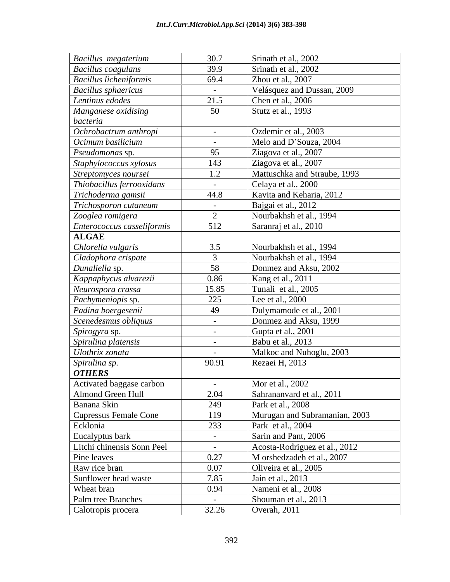| Bacillus megaterium           | 30.7                 | Srinath et al., 2002          |
|-------------------------------|----------------------|-------------------------------|
| <b>Bacillus coagulans</b>     | 39.9                 | Srinath et al., 2002          |
| <b>Bacillus licheniformis</b> | 69.4                 | Zhou et al., 2007             |
| <b>Bacillus</b> sphaericus    | $\sim 10^{-11}$      | Velásquez and Dussan, 2009    |
| Lentinus edodes               | 21.5                 | Chen et al., 2006             |
| Manganese oxidising           | 50                   | Stutz et al., 1993            |
| bacteria                      |                      |                               |
| Ochrobactrum anthropi         | $-$                  | Ozdemir et al., 2003          |
| Ocimum basilicium             | $\sim 10^{-10}$      | Melo and D'Souza, 2004        |
| Pseudomonas sp.               | 95                   | Ziagova et al., 2007          |
| Staphylococcus xylosus        | 143                  | Ziagova et al., 2007          |
| Streptomyces noursei          | 1.2                  | Mattuschka and Straube, 1993  |
| Thiobacillus ferrooxidans     | $\sim$ $ \sim$       | Celaya et al., 2000           |
| Trichoderma gamsii            | 44.8                 | Kavita and Keharia, 2012      |
| Trichosporon cutaneum         | $\sim 10^{-11}$      | Bajgai et al., 2012           |
| Zooglea romigera              | 2                    | Nourbakhsh et al., 1994       |
| Enterococcus casseliformis    | 512                  | Saranraj et al., 2010         |
| <b>ALGAE</b>                  |                      |                               |
| Chlorella vulgaris            | 3.5                  | Nourbakhsh et al., 1994       |
| Cladophora crispate           | $\overline{3}$       | Nourbakhsh et al., 1994       |
| Dunaliella sp.                | 58                   | Donmez and Aksu, 2002         |
| Kappaphycus alvarezii         | 0.86                 | Kang et al., 2011             |
| Neurospora crassa             | 15.85                | Tunali et al., 2005           |
| Pachymeniopis sp.             | 225                  | Lee et al., 2000              |
| Padina boergesenii            | 49                   | Dulymamode et al., 2001       |
| Scenedesmus obliquus          | $\sim 100$           | Donmez and Aksu, 1999         |
| Spirogyra sp.                 | $\sim 100$ m $^{-1}$ | Gupta et al., 2001            |
| Spirulina platensis           | $\sim$               | Babu et al., 2013             |
| Ulothrix zonata               | $\sim$               | Malkoc and Nuhoglu, 2003      |
| Spirulina sp.                 | 90.91                | Rezaei H, 2013                |
| <b>OTHERS</b>                 |                      |                               |
| Activated baggase carbon      | $\sim$ $-$           | Mor et al., 2002              |
| Almond Green Hull             | 2.04                 | Sahrananvard et al., 2011     |
| Banana Skin                   | 249                  | Park et al., 2008             |
| <b>Cupressus Female Cone</b>  | 119                  | Murugan and Subramanian, 2003 |
| Ecklonia                      | 233                  | Park et al., 2004             |
| Eucalyptus bark               | $\sim$ $-$           | Sarin and Pant, 2006          |
| Litchi chinensis Sonn Peel    | $\sim 10^{-10}$      | Acosta-Rodriguez et al., 2012 |
| Pine leaves                   | 0.27                 | M orshedzadeh et al., 2007    |
| Raw rice bran                 | 0.07                 | Oliveira et al., 2005         |
| Sunflower head waste          | 7.85                 | Jain et al., 2013             |
| Wheat bran                    | 0.94                 | Nameni et al., 2008           |
| Palm tree Branches            | $\sim 10^{-11}$      | Shouman et al., 2013          |
| Calotropis procera            | 32.26                | Overah, 2011                  |
|                               |                      |                               |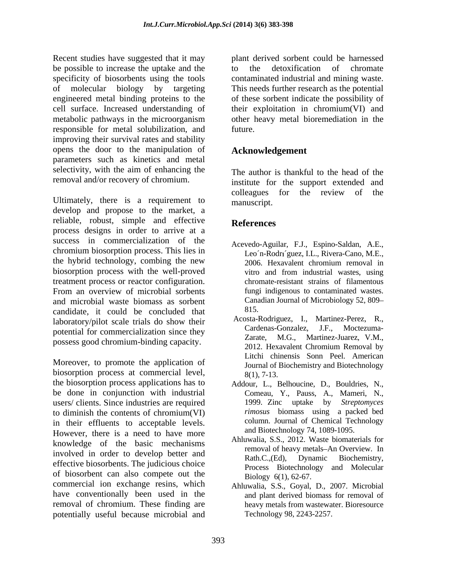Recent studies have suggested that it may be possible to increase the uptake and the to the detoxification of chromate specificity of biosorbents using the tools contaminated industrial and mining waste. of molecular biology by targeting This needs further research as the potential engineered metal binding proteins to the of these sorbent indicate the possibility of cell surface. Increased understanding of their exploitation in chromium(VI) and metabolic pathways in the microorganism other heavy metal bioremediation in the responsible for metal solubilization, and improving their survival rates and stability opens the door to the manipulation of parameters such as kinetics and metal selectivity, with the aim of enhancing the

Ultimately, there is a requirement to manuscript. develop and propose to the market, a reliable, robust, simple and effective References process designs in order to arrive at a success in commercialization of the chromium biosorption process. This lies in the hybrid technology, combing the new 2006. Hexavalent chromium removal in biosorption process with the well-proved vitro and from industrial wastes, using treatment process or reactor configuration. From an overview of microbial sorbents and microbial waste biomass as sorbent Canada.<br>
condidate it could be concluded that 815 candidate, it could be concluded that laboratory/pilot scale trials do show their<br>Cardenas-Gonzalez, J.F., Moctezumapotential for commercialization since they cardenally cardenal control of the control of the control of the control of the control of the control of the control of the control of the control of the control of the control o

Moreover, to promote the application of biosorption process at commercial level,  $\frac{8(1)}{7-13}$ the biosorption process applications has to be done in conjunction with industrial users/ clients. Since industries are required to diminish the contents of chromium(VI) in their effluents to acceptable levels. However, there is a need to have more knowledge of the basic mechanisms involved in order to develop better and Rath.C..(Ed). effective biosorbents. The judicious choice of biosorbent can also compete out the commercial ion exchange resins, which have conventionally been used in the and plant derived biomass for removal of removal of chromium. These finding are potentially useful because microbial and

plant derived sorbent could be harnessed to the detoxification of chromate other heavy metal bioremediation in the future.

# **Acknowledgement**

removal and/or recovery of chromium. institute for the support extended and The author is thankful to the head of the colleagues for the review of the manuscript.

# **References**

- Acevedo-Aguilar, F.J., Espino-Saldan, A.E., Leo'n-Rodri'guez, I.L., Rivera-Cano, M.E., 2006. Hexavalent chromium removal in vitro and from industrial wastes, using chromate-resistant strains of filamentous fungi indigenous to contaminated wastes. Canadian Journal of Microbiology 52, 809 815.
- possess good chromium-binding capacity.<br>2012. Hexavalent Chromium Removal by Acosta-Rodriguez, I., Martinez-Perez, R., Cardenas-Gonzalez, J.F., M.G., Martinez-Juarez, V.M., 2012. Hexavalent Chromium Removal by Litchi chinensis Sonn Peel. American Journal of Biochemistry and Biotechnology 8(1), 7-13.
	- Addour, L., Belhoucine, D., Bouldries, N., Comeau, Y., Pauss, A., Mameri, N., 1999. Zinc uptake by *Streptomyces rimosus* biomass using a packed bed column. Journal of Chemical Technology and Biotechnology 74, 1089-1095.
	- Ahluwalia, S.S., 2012. Waste biomaterials for removal of heavy metals-An Overview. In Dynamic Biochemistry, Process Biotechnology and Molecular Biology 6(1), 62-67.
	- Ahluwalia, S.S., Goyal, D., 2007. Microbial heavy metals from wastewater. Bioresource Technology 98, 2243-2257.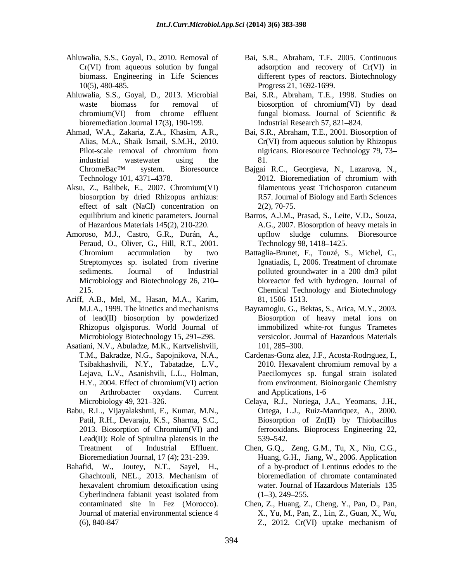- Ahluwalia, S.S., Goyal, D., 2010. Removal of Bai, S.R., Abraham, T.E. 2005. Continuous
- Ahluwalia, S.S., Goyal, D., 2013. Microbial Bai, S.R., Abraham, T.E., 1998. Studies on bioremediation Journal 17(3), 190-199.
- Ahmad, W.A., Zakaria, Z.A., Khasim, A.R.,
- Aksu, Z., Balibek, E., 2007. Chromium(VI) effect of salt  $(NaCl)$  concentration on  $2(2)$ , 70-75.
- Amoroso, M.J., Castro, G.R., Durán, A., Peraud, O., Oliver, G., Hill, R.T., 2001. Technology 98, 1418–1425.
- Ariff, A.B., Mel, M., Hasan, M.A., Karim,
- Asatiani, N.V., Abuladze, M.K., Kartvelishvili,
- Babu, R.L., Vijayalakshmi, E., Kumar, M.N., Patil, R.H., Devaraju, K.S., Sharma, S.C., Lead(II): Role of Spirulina platensis in the 539–542.
- Bahafid, W., Joutey, N.T., Sayel, H., hexavalent chromium detoxification using
- Cr(VI) from aqueous solution by fungal adsorption and recovery of Cr(VI) in biomass. Engineering in Life Sciences different types of reactors. Biotechnology 10(5), 480-485. Progress 21, 1692-1699.
- waste biomass for removal of biosorption of chromium(VI) by dead  $chromium(VI)$  from chrome effluent fungal biomass. Journal of Scientific  $\&$ fungal biomass. Journal of Scientific  $\&$ Industrial Research 57, 821–824.
- Alias, M.A., Shaik Ismail, S.M.H., 2010. Pilot-scale removal of chromium from migricans. Bioresource Technology 79, 73– industrial wastewater using the 81. Bai, S.R., Abraham, T.E., 2001. Biosorption of Cr(VI) from aqueous solution by Rhizopus nigricans. Bioresource Technology 79, 73 81.
- ChromeBac<sup>TM</sup> system. Bioresource Bajgai R.C., Georgieva, N., Lazarova, N., Technology 101, 4371–4378. 2012. Bioremediation of chromium with biosorption by dried Rhizopus arrhizus: R57. Journal of Biology and Earth Sciences 2012. Bioremediation of chromium with filamentous yeast Trichosporon cutaneum 2(2), 70-75.
- equilibrium and kinetic parameters. Journal Barros, A.J.M., Prasad, S., Leite, V.D., Souza, of Hazardous Materials 145(2), 210-220. A.G., 2007. Biosorption of heavy metals in upflow sludge columns. Bioresource Technology 98, 1418–1425.
- Chromium accumulation by two Battaglia-Brunet, F., Touzé, S., Michel, C., Streptomyces sp. isolated from riverine Ignatiadis, I., 2006. Treatment of chromate sediments. Journal of Industrial polluted groundwater in a 200 dm3 pilot Microbiology and Biotechnology 26, 210 bioreactor fed with hydrogen. Journal of 215. Chemical Technology and Biotechnology Ignatiadis, I., 2006. Treatment of chromate 81, 1506 1513.
- M.I.A., 1999. The kinetics and mechanisms Bayramoglu, G., Bektas, S., Arica, M.Y., 2003. of lead(II) biosorption by powderized Biosorption of heavy metal ions on Rhizopus olgisporus. World Journal of immobilized white-rot fungus Trametes Microbiology Biotechnology 15, 291–298. The versicolor. Journal of Hazardous Materials 101, 285–300.
- T.M., Bakradze, N.G., Sapojnikova, N.A., Cardenas-Gonz alez, J.F., Acosta-Rodriguez, I., Tsibakhashvili, N.Y., Tabatadze, L.V., Lejava, L.V., Asanishvili, L.L., Holman, Paecilomyces sp. fungal strain isolated H.Y., 2004. Effect of chromium(VI) action from environment. Bioinorganic Chemistry on Arthrobacter oxydans. Current 2010. Hexavalent chromium removal by a and Applications, 1-6
- Microbiology 49, 321 326. Celaya, R.J., Noriega, J.A., Yeomans, J.H., 2013. Biosorption of Chromium(VI) and ferrooxidans. Bioprocess Engineering 22, Ortega, L.J., Ruiz-Manriquez, A., 2000. Biosorption of Zn(II) by Thiobacillus 539 542.
- Treatment of Industrial Effluent. Chen, G.Q., Zeng, G.M., Tu, X., Niu, C.G., Bioremediation Journal, 17 (4); 231-239. Huang, G.H., Jiang, W., 2006. Application Ghachtouli, NEL., 2013. Mechanism of Cyberlindnera fabianii yeast isolated from  $(1-3)$ , 249–255. of a by-product of Lentinus edodes to the bioremediation of chromate contaminated water. Journal of Hazardous Materials 135  $(1-3)$ , 249-255.
- contaminated site in Fez (Morocco). Chen, Z., Huang, Z., Cheng, Y., Pan, D., Pan, Journal of material environmental science 4 X., Yu, M., Pan, Z., Lin, Z., Guan, X., Wu, (6), 840-847 Z., 2012. Cr(VI) uptake mechanism of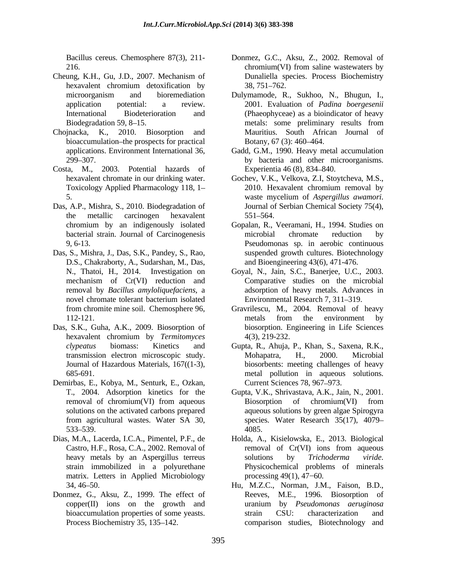- Cheung, K.H., Gu, J.D., 2007. Mechanism of
- bioaccumulation-the prospects for practical Botany, 67 (3): 460-464.
- Costa, M., 2003. Potential hazards of Experientia 46 (8), 834–840.
- Das, A.P., Mishra, S., 2010. Biodegradation of Journal of Serbian Chemical Society 75(4), the metallic carcinogen hexavalent chromium by an indigenously isolated
- Das, S., Mishra, J., Das, S.K., Pandey, S., Rao, D.S., Chakraborty, A., Sudarshan, M., Das,
- Das, S.K., Guha, A.K., 2009. Biosorption of
- Demirbas, E., Kobya, M., Senturk, E., Ozkan,
- Dias, M.A., Lacerda, I.C.A., Pimentel, P.F., de Holda, A., Kisielowska, E., 2013. Biological matrix. Letters in Applied Microbiology processing 49(1), 47–60.
- Donmez, G., Aksu, Z., 1999. The effect of Reeves, M.E., 1996. Biosorption of
- Bacillus cereus. Chemosphere 87(3), 211- Donmez, G.C., Aksu, Z., 2002. Removal of 216. 2016. Chronium (VI) from saline was tewaters by hexavalent chromium detoxification by 38, 751–762. chromium(VI) from saline wastewaters by Dunaliella species. Process Biochemistry 38, 751 762.
- microorganism and bioremediation Dulymamode, R., Sukhoo, N., Bhugun, I., application potential: a review. 2001. Evaluation of *Padina boergesenii* International Biodeterioration and (Phaeophyceae) as a bioindicator of heavy Biodegradation 59, 8–15. The extension of the metals: some preliminary results from Chojnacka, K., 2010. Biosorption and Mauritius. South African Journal of Botany, 67 (3): 460–464.
	- applications. Environment International 36, Gadd, G.M., 1990. Heavy metal accumulation 299 307. by bacteria and other microorganisms. Experientia 46 (8), 834–840.
	- hexavalent chromate in our drinking water. Gochev, V.K., Velkova, Z.I, Stoytcheva, M.S., Toxicology Applied Pharmacology 118, 1– 2010. Hexavalent chromium removal by 5. was temperature was the mycelium of Aspergillus awamori. 2010. Hexavalent chromium removal by waste mycelium of *Aspergillus awamori*. Journal of Serbian Chemical Society 75(4), 551 564.
	- bacterial strain. Journal of Carcinogenesis 9, 6-13. Pseudomonas sp. in aerobic continuous Gopalan, R., Veeramani, H., 1994. Studies on microbial chromate reduction by suspended growth cultures. Biotechnology and Bioengineering 43(6), 471-476.
	- N., Thatoi, H., 2014. Investigation on Goyal, N., Jain, S.C., Banerjee, U.C., 2003. mechanism of Cr(VI) reduction and Comparative studies on the microbial removal by *Bacillus amyloliquefaciens*, a adsorption of heavy metals. Advances in novel chromate tolerant bacterium isolated Environmental Research 7, 311–319. Comparative studies on the microbial Environmental Research 7, 311-319.
	- from chromite mine soil. Chemosphere 96, Gravrilescu, M., 2004. Removal of heavy 112-121. metals from the environment by hexavalent chromium by *Termitomyces*  metals from the environment by biosorption. Engineering in Life Sciences 4(3), 219-232.
	- *clypeatus* biomass: Kinetics and Gupta, R., Ahuja, P., Khan, S., Saxena, R.K., transmission electron microscopic study. Journal of Hazardous Materials, 167((1-3), biosorbents: meeting challenges of heavy 685-691. metal pollution in aqueous solutions. Mohapatra, H., 2000. Microbial Current Sciences 78, 967-973.
	- T., 2004. Adsorption kinetics for the Gupta, V.K., Shrivastava, A.K., Jain, N., 2001. removal of chromium(VI) from aqueous Biosorption of chromium(VI) from solutions on the activated carbons prepared aqueous solutions by green algae Spirogyra from agricultural wastes. Water SA 30, species. Water Research 35(17), 4079– 533 539. Biosorption of chromium(VI) from 4085.
	- Castro, H.F., Rosa, C.A., 2002. Removal of removal of Cr(VI) ions from aqueous heavy metals by an Aspergillus terreus solutions by *Trichoderma viride*. strain immobilized in a polyurethane Physicochemical problems of minerals removal of Cr(VI) ions from aqueous solutions by *Trichoderma viride*. Physicochemical problems of minerals
	- 34, 46 50. copper(II) ions on the growth and uranium by *Pseudomonas aeruginosa* bioaccumulation properties of some yeasts. strain CSU: characterization and Process Biochemistry 35, 135–142. comparison studies, Biotechnology and processing 49(1), 47–60.<br>Hu, M.Z.C., Norman, J.M., Faison, B.D., Reeves, M.E., 1996. Biosorption strain CSU: characterization and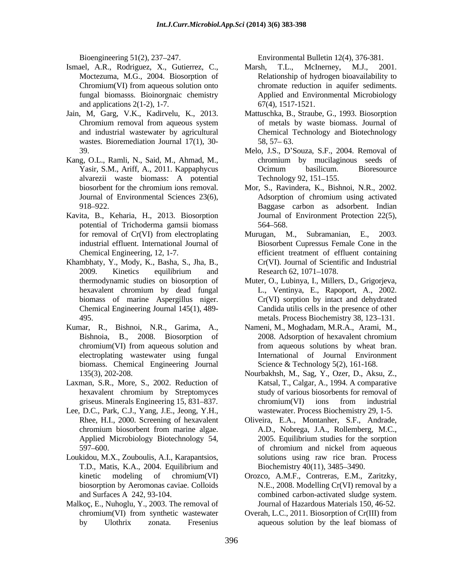- Ismael, A.R., Rodriguez, X., Gutierrez, C., Marsh, T.L., McInerney, M.J., 2001. fungal biomasss. Bioinorgnaic chemistry and applications  $2(1-2)$ , 1-7.
- wastes. Bioremediation Journal  $17(1)$ ,  $30-58$ ,  $57-63$ .
- Kang, O.L., Ramli, N., Said, M., Ahmad, M., alvarezii waste biomass: A potential
- Kavita, B., Keharia, H., 2013. Biosorption potential of Trichoderma gamsii biomass
- Khambhaty, Y., Mody, K., Basha, S., Jha, B.,
- Kumar, R., Bishnoi, N.R., Garima, A., Nameni, M., Moghadam, M.R.A., Arami, M., biomass. Chemical Engineering Journal
- Laxman, S.R., More, S., 2002. Reduction of
- Lee, D.C., Park, C.J., Yang, J.E., Jeong, Y.H.,
- Loukidou, M.X., Zouboulis, A.I., Karapantsios,
- Malkoç, E., Nuhoglu, Y., 2003. The removal of

Bioengineering 51(2), 237 247. Environmental Bulletin 12(4), 376-381.

- Moctezuma, M.G., 2004. Biosorption of Relationship of hydrogen bioavailability to Chromium(VI) from aqueous solution onto chromate reduction in aquifer sediments. Marsh, T.L., McInerney, M.J., 2001. Applied and Environmental Microbiology 67(4), 1517-1521.
- Jain, M, Garg, V.K., Kadirvelu, K., 2013. Mattuschka, B., Straube, G., 1993. Biosorption Chromium removal from aqueous system of metals by waste biomass. Journal of and industrial wastewater by agricultural Chemical Technology and Biotechnology of metals by waste biomass. Journal of  $58, 57 - 63.$ 
	- 39. Melo, J.S., D Souza, S.F., 2004. Removal of Yasir, S.M., Ariff, A., 2011. Kappaphycus chromium by mucilaginous seeds of Ocimum basilicum. Bioresource Technology 92, 151–155.
	- biosorbent for the chromium ions removal. Mor, S., Ravindera, K., Bishnoi, N.R., 2002. Journal of Environmental Sciences 23(6), Adsorption of chromium using activated 918 922. Baggase carbon as adsorbent. Indian Mor, S., Ravindera, K., Bishnoi, N.R., 2002. Adsorption of chromium using activated Journal of Environment Protection 22(5), 564 568.
	- for removal of Cr(VI) from electroplating Murugan, M., Subramanian, E., 2003. industrial effluent. International Journal of Biosorbent Cupressus Female Cone in the Chemical Engineering, 12, 1-7. efficient treatment of effluent containing 2009. Kinetics equilibrium and Research 62, 1071–1078. Murugan, M., Subramanian, E., 2003. Cr(VI). Journal of Scientific and Industrial Research 62, 1071–1078.
	- thermodynamic studies on biosorption of Muter, O., Lubinya, I., Millers, D., Grigorjeva, hexavalent chromium by dead fungal L., Ventinya, E., Rapoport, A., 2002. biomass of marine Aspergillus niger. Cr(VI) sorption by intact and dehydrated Chemical Engineering Journal 145(1), 489- Candida utilis cells in the presence of other Absolute 195. The metals. Process Biochemistry 38, 123–131.
	- Bishnoia, B., 2008. Biosorption of 2008. Adsorption of hexavalent chromium chromium(VI) from aqueous solution and from aqueous solutions by wheat bran. electroplating wastewater using fungal International of Journal Environment 2008. Adsorption of hexavalent chromium Science & Technology 5(2), 161-168.
	- 135(3), 202-208. Nourbakhsh, M., Sag, Y., Ozer, D., Aksu, Z., hexavalent chromium by Streptomyces study of various biosorbents for removal of griseus. Minerals Engineering 15, 831–837. chromium (VI) ions from industrial Katsal, T., Calgar, A., 1994. A comparative chromium(VI) ions from industrial wastewater. Process Biochemistry 29, 1-5.
	- Rhee, H.I., 2000. Screening of hexavalent Oliveira, E.A., Montanher, S.F., Andrade, chromium biosorbent from marine algae. Applied Microbiology Biotechnology 54, 2005. Equilibrium studies for the sorption 597–600. of chromium and nickel from aqueous T.D., Matis, K.A., 2004. Equilibrium and A.D., Nobrega, J.A., Rollemberg, M.C., 2005. Equilibrium studies for the sorption of chromium and nickel from aqueous solutions using raw rice bran. Process Biochemistry 40(11), 3485–3490.
	- kinetic modeling of chromium(VI) Orozco, A.M.F., Contreras, E.M., Zaritzky, biosorption by Aeromonas caviae. Colloids N.E., 2008. Modelling Cr(VI) removal by a and Surfaces A 242, 93-104. combined carbon-activated sludge system. Journal of Hazardous Materials 150, 46-52.
	- chromium(VI) from synthetic wastewater Overah, L.C., 2011. Biosorption of Cr(III) from by Ulothrix zonata. Fresenius aqueous solution by the leaf biomass of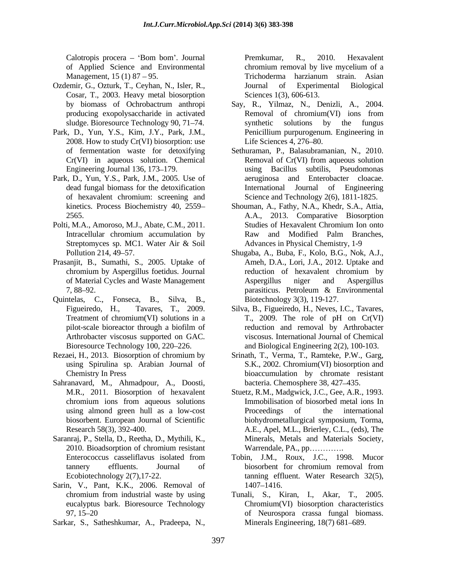of Applied Science and Environmental Management, 15 (1) 87 – 95. Trichoderma harzianum strain. Asian

- Ozdemir, G., Ozturk, T., Ceyhan, N., Isler, R., Cosar, T., 2003. Heavy metal biosorption
- Park, D., Yun, Y.S., Kim, J.Y., Park, J.M., 2008. How to study Cr(VI) biosorption: use Life Sciences 4, 276–80.
- Park, D., Yun, Y.S., Park, J.M., 2005. Use of of hexavalent chromium: screening and
- Polti, M.A., Amoroso, M.J., Abate, C.M., 2011.
- Prasanjit, B., Sumathi, S., 2005. Uptake of
- Quintelas, C., Fonseca, B., Silva, B.,
- 
- Sahranavard, M., Ahmadpour, A., Doosti,
- Saranraj, P., Stella, D., Reetha, D., Mythili, K.,
- Sarin, V., Pant, K.K., 2006. Removal of 1407-1416.
- Sarkar, S., Satheshkumar, A., Pradeepa, N.,

Calotropis procera – 'Bom bom'. Journal Premkumar, R., 2010. Hexavalent Premkumar, R., 2010. Hexavalent chromium removal by live mycelium of a Trichoderma harzianum strain. Asian Journal of Experimental Biological Sciences 1(3), 606-613.

- by biomass of Ochrobactrum anthropi Say, R., Yilmaz, N., Denizli, A., 2004. producing exopolysaccharide in activated sludge. Bioresource Technology 90, 71–74. synthetic solutions by the fungus Removal of chromium(VI) ions from synthetic solutions by the fungus Penicillium purpurogenum. Engineering in Life Sciences  $4, 276 - 80$ .
- of fermentation waste for detoxifying Sethuraman, P., Balasubramanian, N., 2010. Cr(VI) in aqueous solution. Chemical Removal of Cr(VI) from aqueous solution Engineering Journal 136, 173 179. using Bacillus subtilis, Pseudomonas dead fungal biomass for the detoxification aeruginosa and Enterobacter cloacae. International Journal of Engineering Science and Technology 2(6), 1811-1825.
- kinetics. Process Biochemistry 40, 2559 Shouman, A., Fathy, N.A., Khedr, S.A., Attia, 2565. A.A., 2013. Comparative Biosorption Intracellular chromium accumulation by **Example 2018** Raw and Modified Palm Branches, Streptomyces sp. MC1. Water Air & Soil Advances in Physical Chemistry, 1-9 Studies of Hexavalent Chromium Ion onto Raw and Modified Palm Branches, Advances in Physical Chemistry, 1-9
- Pollution 214, 49 57. Shugaba, A., Buba, F., Kolo, B.G., Nok, A.J., chromium by Aspergillus foetidus. Journal of Material Cycles and Waste Management 7, 88–92. **Example 2. Example 2. Constant 2. Constant 2. Petroleum & Environmental** Ameh, D.A., Lori, J.A., 2012. Uptake and reduction of hexavalent chromium by Aspergillus niger and Aspergillus parasiticus. Petroleum & Environmental Biotechnology 3(3), 119-127.
- Figueiredo, H., Tavares, T., 2009. Silva, B., Figueiredo, H., Neves, I.C., Tavares, Treatment of chromium(VI) solutions in a T., 2009. The role of pH on Cr(VI) pilot-scale bioreactor through a biofilm of Arthrobacter viscosus supported on GAC. viscosus. International Journal of Chemical Bioresource Technology 100, 220–226. and Biological Engineering 2(2), 100-103. reduction and removal by Arthrobacter
- Rezaei, H., 2013. Biosorption of chromium by Srinath, T., Verma, T., Ramteke, P.W., Garg, using Spirulina sp. Arabian Journal of S.K., 2002. Chromium(VI) biosorption and Chemistry In Press bioaccumulation by chromate resistant bacteria. Chemosphere 38, 427-435.
	- M.R., 2011. Biosorption of hexavalent Stuetz, R.M., Madgwick, J.C., Gee, A.R., 1993. chromium ions from aqueous solutions using almond green hull as a low-cost biosorbent. European Journal of Scientific biohydrometallurgical symposium,Torma, Research 58(3), 392-400. A.E., Apel, M.L., Brierley, C.L., (eds), The 2010. Bioadsorption of chromium resistant Immobilisation of biosorbed metal ions In Proceedings of the international Minerals, Metals and Materials Society, Warrendale, PA., pp.............
	- Enterococcus casseliflavus isolated from Tobin, J.M., Roux, J.C., 1998. Mucor tannery effluents. Journal of Ecobiotechnology 2(7),17-22. tanning effluent. Water Research 32(5), biosorbent for chromium removal from 1407 1416.
	- chromium from industrial waste by using Tunali, S., Kiran, I., Akar, T., 2005. eucalyptus bark. Bioresource Technology Chromium(VI) biosorption characteristics 97, 15 20 of Neurospora crassa fungal biomass. Minerals Engineering, 18(7) 681–689.